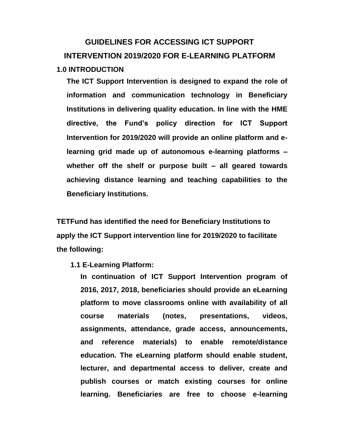# **GUIDELINES FOR ACCESSING ICT SUPPORT INTERVENTION 2019/2020 FOR E-LEARNING PLATFORM 1.0 INTRODUCTION**

**The ICT Support Intervention is designed to expand the role of information and communication technology in Beneficiary Institutions in delivering quality education. In line with the HME directive, the Fund's policy direction for ICT Support Intervention for 2019/2020 will provide an online platform and elearning grid made up of autonomous e-learning platforms – whether off the shelf or purpose built – all geared towards achieving distance learning and teaching capabilities to the Beneficiary Institutions.**

**TETFund has identified the need for Beneficiary Institutions to apply the ICT Support intervention line for 2019/2020 to facilitate the following:**

**1.1 E-Learning Platform:**

**In continuation of ICT Support Intervention program of 2016, 2017, 2018, beneficiaries should provide an eLearning platform to move classrooms online with availability of all course materials (notes, presentations, videos, assignments, attendance, grade access, announcements, and reference materials) to enable remote/distance education. The eLearning platform should enable student, lecturer, and departmental access to deliver, create and publish courses or match existing courses for online learning. Beneficiaries are free to choose e-learning**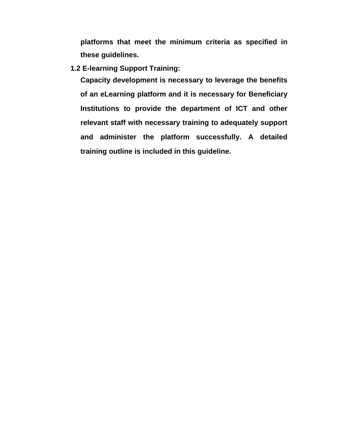**platforms that meet the minimum criteria as specified in these guidelines.**

**1.2 E-learning Support Training:**

**Capacity development is necessary to leverage the benefits of an eLearning platform and it is necessary for Beneficiary Institutions to provide the department of ICT and other relevant staff with necessary training to adequately support and administer the platform successfully. A detailed training outline is included in this guideline.**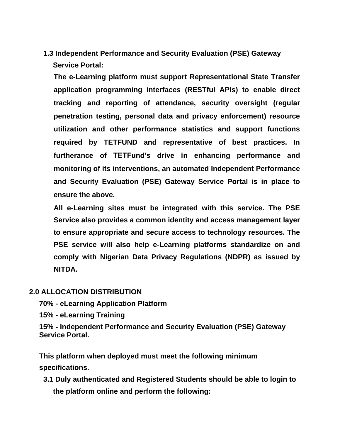**1.3 Independent Performance and Security Evaluation (PSE) Gateway Service Portal:**

**The e-Learning platform must support Representational State Transfer application programming interfaces (RESTful APIs) to enable direct tracking and reporting of attendance, security oversight (regular penetration testing, personal data and privacy enforcement) resource utilization and other performance statistics and support functions required by TETFUND and representative of best practices. In furtherance of TETFund's drive in enhancing performance and monitoring of its interventions, an automated Independent Performance and Security Evaluation (PSE) Gateway Service Portal is in place to ensure the above.**

**All e-Learning sites must be integrated with this service. The PSE Service also provides a common identity and access management layer to ensure appropriate and secure access to technology resources. The PSE service will also help e-Learning platforms standardize on and comply with Nigerian Data Privacy Regulations (NDPR) as issued by NITDA.**

### **2.0 ALLOCATION DISTRIBUTION**

**70% - eLearning Application Platform**

**15% - eLearning Training**

**15% - Independent Performance and Security Evaluation (PSE) Gateway Service Portal.**

**This platform when deployed must meet the following minimum specifications.**

**3.1 Duly authenticated and Registered Students should be able to login to the platform online and perform the following:**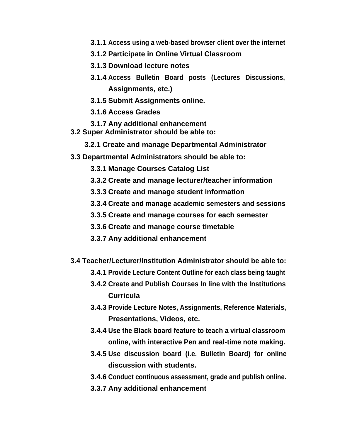- **3.1.1 Access using a web-based browser client over the internet**
- **3.1.2 Participate in Online Virtual Classroom**
- **3.1.3 Download lecture notes**
- **3.1.4 Access Bulletin Board posts (Lectures Discussions, Assignments, etc.)**
- **3.1.5 Submit Assignments online.**
- **3.1.6 Access Grades**
- **3.1.7 Any additional enhancement**
- **3.2 Super Administrator should be able to:**
	- **3.2.1 Create and manage Departmental Administrator**
- **3.3 Departmental Administrators should be able to:**
	- **3.3.1 Manage Courses Catalog List**
	- **3.3.2 Create and manage lecturer/teacher information**
	- **3.3.3 Create and manage student information**
	- **3.3.4 Create and manage academic semesters and sessions**
	- **3.3.5 Create and manage courses for each semester**
	- **3.3.6 Create and manage course timetable**
	- **3.3.7 Any additional enhancement**
- **3.4 Teacher/Lecturer/Institution Administrator should be able to:**
	- **3.4.1 Provide Lecture Content Outline for each class being taught**
	- **3.4.2 Create and Publish Courses In line with the Institutions Curricula**
	- **3.4.3 Provide Lecture Notes, Assignments, Reference Materials, Presentations, Videos, etc.**
	- **3.4.4 Use the Black board feature to teach a virtual classroom online, with interactive Pen and real-time note making.**
	- **3.4.5 Use discussion board (i.e. Bulletin Board) for online discussion with students.**
	- **3.4.6 Conduct continuous assessment, grade and publish online.**
	- **3.3.7 Any additional enhancement**